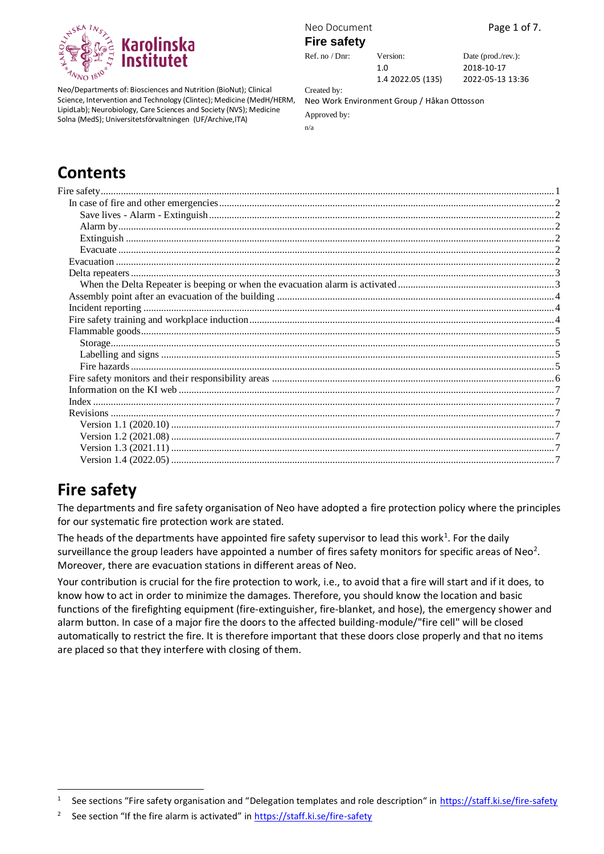

Neo/Departments of: Biosciences and Nutrition (BioNut); Clinical Science, Intervention and Technology (Clintec); Medicine (MedH/HERM, LipidLab); Neurobiology, Care Sciences and Society (NVS); Medicine Solna (MedS); Universitetsförvaltningen (UF/Archive,ITA)

Neo Document **Page 1 of 7.** 

#### **Fire safety**

1.0

Ref. no / Dnr: Version: Date (prod./rev.): 2018-10-17 2022-05-13 13:36

1.4 2022.05 (135) Created by:

Neo Work Environment Group / Håkan Ottosson

Approved by: n/a

# **Contents**

# <span id="page-0-0"></span>**Fire safety**

The departments and fire safety organisation of Neo have adopted a fire protection policy where the principles for our systematic fire protection work are stated.

The heads of the departments have appointed fire safety supervisor to lead this work<sup>1</sup>. For the daily surveillance the group leaders have appointed a number of fires safety monitors for specific areas of Neo<sup>2</sup>. Moreover, there are evacuation stations in different areas of Neo.

Your contribution is crucial for the fire protection to work, i.e., to avoid that a fire will start and if it does, to know how to act in order to minimize the damages. Therefore, you should know the location and basic functions of the firefighting equipment (fire-extinguisher, fire-blanket, and hose), the emergency shower and alarm button. In case of a major fire the doors to the affected building-module/"fire cell" will be closed automatically to restrict the fire. It is therefore important that these doors close properly and that no items are placed so that they interfere with closing of them.

<sup>1</sup> See sections "Fire safety organisation and "Delegation templates and role description" in <https://staff.ki.se/fire-safety>

<sup>2</sup> See section "If the fire alarm is activated" in <https://staff.ki.se/fire-safety>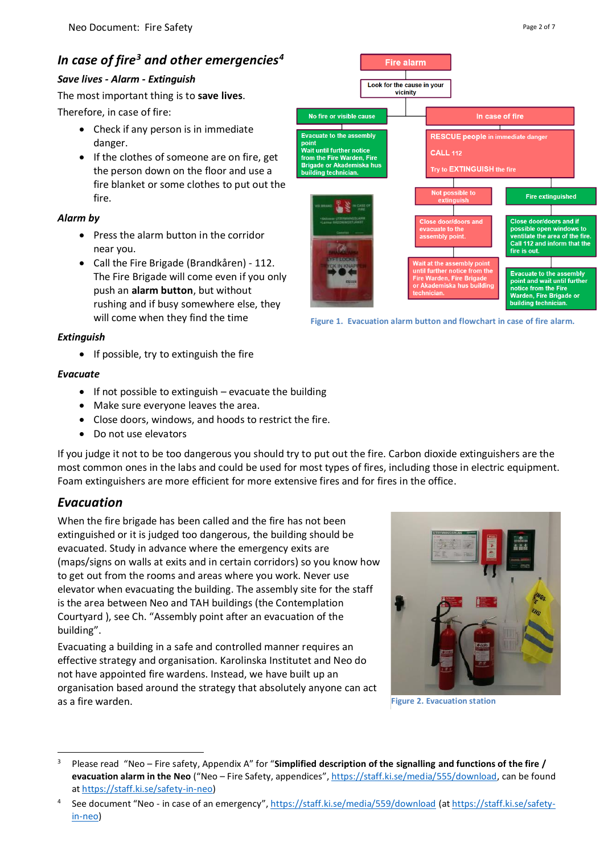# <span id="page-1-0"></span>*In case of fire<sup>3</sup> and other emergencies<sup>4</sup>*

#### <span id="page-1-1"></span>*Save lives - Alarm - Extinguish*

The most important thing is to **save lives**. Therefore, in case of fire:

- Check if any person is in immediate danger.
- If the clothes of someone are on fire, get the person down on the floor and use a fire blanket or some clothes to put out the fire.

#### <span id="page-1-2"></span>*Alarm by*

- Press the alarm button in the corridor near you.
- Call the Fire Brigade (Brandkåren) 112. The Fire Brigade will come even if you only push an **alarm button**, but without rushing and if busy somewhere else, they will come when they find the time

#### <span id="page-1-3"></span>*Extinguish*

• If possible, try to extinguish the fire

#### <span id="page-1-4"></span>*Evacuate*

- If not possible to extinguish evacuate the building
- Make sure everyone leaves the area.
- Close doors, windows, and hoods to restrict the fire.
- Do not use elevators

If you judge it not to be too dangerous you should try to put out the fire. Carbon dioxide extinguishers are the most common ones in the labs and could be used for most types of fires, including those in electric equipment. Foam extinguishers are more efficient for more extensive fires and for fires in the office.

## <span id="page-1-5"></span>*Evacuation*

When the fire brigade has been called and the fire has not been extinguished or it is judged too dangerous, the building should be evacuated. Study in advance where the emergency exits are (maps/signs on walls at exits and in certain corridors) so you know how to get out from the rooms and areas where you work. Never use elevator when evacuating the building. The assembly site for the staff is the area between Neo and TAH buildings (the Contemplation Courtyard ), see Ch. "[Assembly point after an evacuation of the](#page-3-0)  [building](#page-3-0)".

Evacuating a building in a safe and controlled manner requires an effective strategy and organisation. Karolinska Institutet and Neo do not have appointed fire wardens. Instead, we have built up an organisation based around the strategy that absolutely anyone can act as a fire warden.



**Figure 1. Evacuation alarm button and flowchart in case of fire alarm.**



**Figure 2. Evacuation station**

<sup>3</sup> Please read "Neo – Fire safety, Appendix A" for "**Simplified description of the signalling and functions of the fire / evacuation alarm in the Neo** ("Neo – Fire Safety, appendices", [https://staff.ki.se/media/555/download,](https://staff.ki.se/media/555/download) can be found at [https://staff.ki.se/safety-in-neo\)](https://staff.ki.se/safety-in-neo)

<sup>4</sup> See document "Neo - in case of an emergency", <https://staff.ki.se/media/559/download> (at [https://staff.ki.se/safety](https://staff.ki.se/safety-in-neo)[in-neo\)](https://staff.ki.se/safety-in-neo)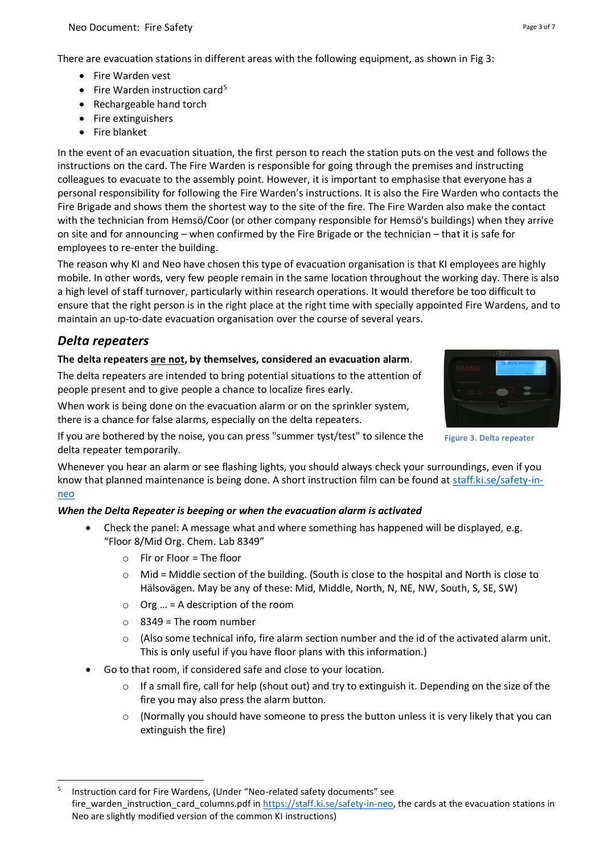There are evacuation stations in different areas with the following equipment, as shown in Fig 3:

- Fire Warden vest
- Fire Warden instruction card<sup>5</sup>
- Rechargeable hand torch
- Fire extinguishers
- Fire blanket

In the event of an evacuation situation, the first person to reach the station puts on the vest and follows the instructions on the card. The Fire Warden is responsible for going through the premises and instructing colleagues to evacuate to the assembly point. However, it is important to emphasise that everyone has a personal responsibility for following the Fire Warden's instructions. It is also the Fire Warden who contacts the Fire Brigade and shows them the shortest way to the site of the fire. The Fire Warden also make the contact with the technician from Hemsö/Coor (or other company responsible for Hemsö's buildings) when they arrive on site and for announcing – when confirmed by the Fire Brigade or the technician – that it is safe for employees to re-enter the building.

The reason why KI and Neo have chosen this type of evacuation organisation is that KI employees are highly mobile. In other words, very few people remain in the same location throughout the working day. There is also a high level of staff turnover, particularly within research operations. It would therefore be too difficult to ensure that the right person is in the right place at the right time with specially appointed Fire Wardens, and to maintain an up-to-date evacuation organisation over the course of several years.

# <span id="page-2-0"></span>*Delta repeaters*

## **The delta repeaters are not, by themselves, considered an evacuation alarm**.

The delta repeaters are intended to bring potential situations to the attention of people present and to give people a chance to localize fires early.

When work is being done on the evacuation alarm or on the sprinkler system, there is a chance for false alarms, especially on the delta repeaters.

If you are bothered by the noise, you can press "summer tyst/test" to silence the delta repeater temporarily.

Whenever you hear an alarm or see flashing lights, you should always check your surroundings, even if you know that planned maintenance is being done. A short instruction film can be found at [staff.ki.se/safety-in](https://staff.ki.se/safety-in-neo)[neo](https://staff.ki.se/safety-in-neo)

## <span id="page-2-1"></span>*When the Delta Repeater is beeping or when the evacuation alarm is activated*

- Check the panel: A message what and where something has happened will be displayed, e.g. "Floor 8/Mid Org. Chem. Lab 8349"
	- $\circ$  Flr or Floor = The floor
	- $\circ$  Mid = Middle section of the building. (South is close to the hospital and North is close to Hälsovägen. May be any of these: Mid, Middle, North, N, NE, NW, South, S, SE, SW)
	- $\circ$  Org ... = A description of the room
	- $\circ$  8349 = The room number
	- $\circ$  (Also some technical info, fire alarm section number and the id of the activated alarm unit. This is only useful if you have floor plans with this information.)
- Go to that room, if considered safe and close to your location.
	- $\circ$  If a small fire, call for help (shout out) and try to extinguish it. Depending on the size of the fire you may also press the alarm button.
	- $\circ$  (Normally you should have someone to press the button unless it is very likely that you can extinguish the fire)

**Figure 3. Delta repeater**

<sup>5</sup> Instruction card for Fire Wardens, (Under "Neo-related safety documents" see fire\_warden\_instruction\_card\_columns.pdf in [https://staff.ki.se/safety-in-neo,](https://staff.ki.se/safety-in-neo) the cards at the evacuation stations in Neo are slightly modified version of the common KI instructions)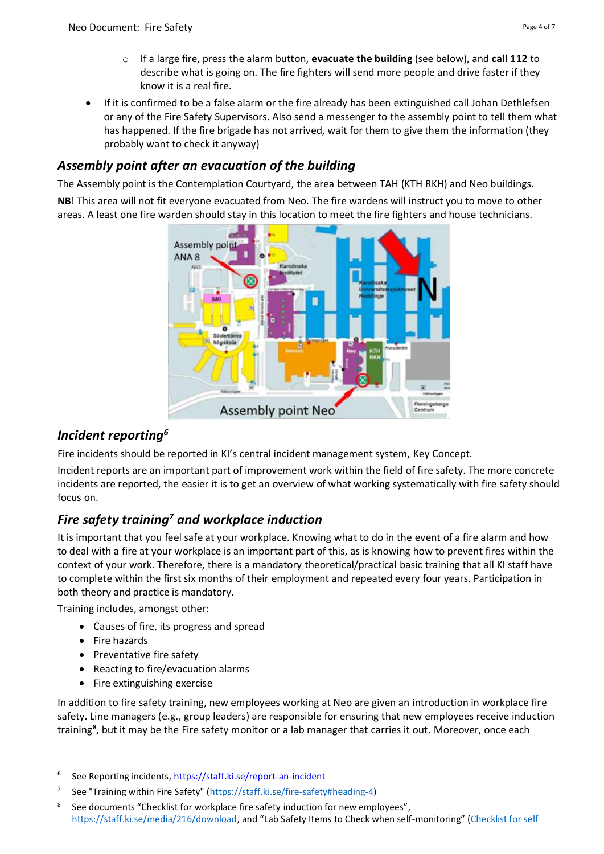• If it is confirmed to be a false alarm or the fire already has been extinguished call Johan Dethlefsen or any of the Fire Safety Supervisors. Also send a messenger to the assembly point to tell them what has happened. If the fire brigade has not arrived, wait for them to give them the information (they probably want to check it anyway)

# <span id="page-3-0"></span>*Assembly point after an evacuation of the building*

The Assembly point is the Contemplation Courtyard, the area between TAH (KTH RKH) and Neo buildings.

**NB**! This area will not fit everyone evacuated from Neo. The fire wardens will instruct you to move to other areas. A least one fire warden should stay in this location to meet the fire fighters and house technicians.



# <span id="page-3-1"></span>*Incident reporting<sup>6</sup>*

Fire incidents should be reported in KI's central incident management system, Key Concept.

Incident reports are an important part of improvement work within the field of fire safety. The more concrete incidents are reported, the easier it is to get an overview of what working systematically with fire safety should focus on.

# <span id="page-3-2"></span>*Fire safety training<sup>7</sup> and workplace induction*

It is important that you feel safe at your workplace. Knowing what to do in the event of a fire alarm and how to deal with a fire at your workplace is an important part of this, as is knowing how to prevent fires within the context of your work. Therefore, there is a mandatory theoretical/practical basic training that all KI staff have to complete within the first six months of their employment and repeated every four years. Participation in both theory and practice is mandatory.

Training includes, amongst other:

- Causes of fire, its progress and spread
- Fire hazards
- Preventative fire safety
- Reacting to fire/evacuation alarms
- Fire extinguishing exercise

In addition to fire safety training, new employees working at Neo are given an introduction in workplace fire safety. Line managers (e.g., group leaders) are responsible for ensuring that new employees receive induction training**<sup>8</sup>** , but it may be the Fire safety monitor or a lab manager that carries it out. Moreover, once each

<sup>6</sup> See Reporting incidents, https://staff.ki.se/report-an-incident

<sup>7</sup> See ["Training within Fire Safety"](https://staff.ki.se/sites/default/files/migrate/2018/04/13/training_within_fire_safety_20180413.pdf) [\(https://staff.ki.se/fire-safety#heading-4\)](https://staff.ki.se/fire-safety#heading-4)

<sup>8</sup> See documents "Checklist for workplace fire safety induction for new employees", [https://staff.ki.se/media/216/download,](https://staff.ki.se/media/216/download) and "Lab Safety Items to Check when self-monitoring" ([Checklist for self](Checklist%20for%20self%20monitoring%20of%20fire%20safety%20installations)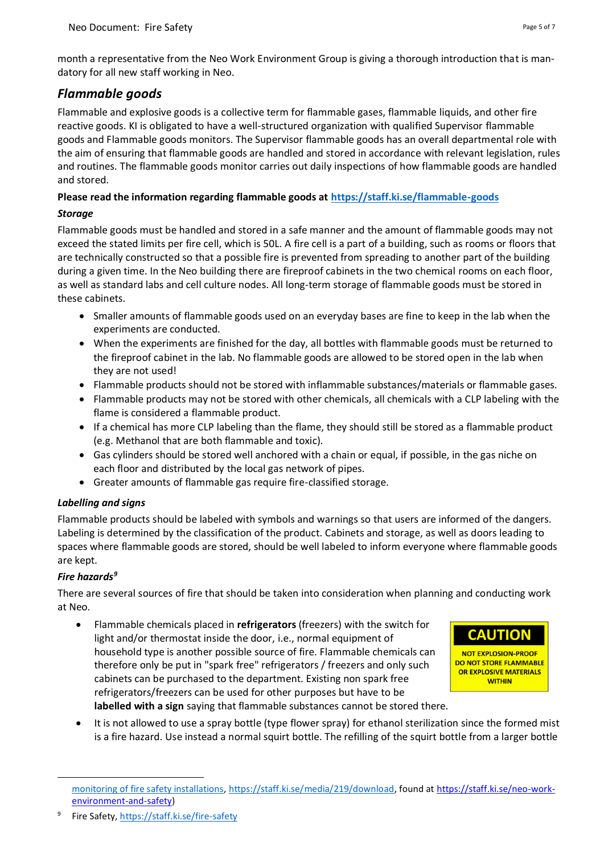month a representative from the Neo Work Environment Group is giving a thorough introduction that is mandatory for all new staff working in Neo.

## <span id="page-4-0"></span>*Flammable goods*

Flammable and explosive goods is a collective term for flammable gases, flammable liquids, and other fire reactive goods. KI is obligated to have a well-structured organization with qualified Supervisor flammable goods and Flammable goods monitors. The Supervisor flammable goods has an overall departmental role with the aim of ensuring that flammable goods are handled and stored in accordance with relevant legislation, rules and routines. The flammable goods monitor carries out daily inspections of how flammable goods are handled and stored.

## **Please read the information regarding flammable goods at<https://staff.ki.se/flammable-goods>**

## <span id="page-4-1"></span>*Storage*

Flammable goods must be handled and stored in a safe manner and the amount of flammable goods may not exceed the stated limits per fire cell, which is 50L. A fire cell is a part of a building, such as rooms or floors that are technically constructed so that a possible fire is prevented from spreading to another part of the building during a given time. In the Neo building there are fireproof cabinets in the two chemical rooms on each floor, as well as standard labs and cell culture nodes. All long-term storage of flammable goods must be stored in these cabinets.

- Smaller amounts of flammable goods used on an everyday bases are fine to keep in the lab when the experiments are conducted.
- When the experiments are finished for the day, all bottles with flammable goods must be returned to the fireproof cabinet in the lab. No flammable goods are allowed to be stored open in the lab when they are not used!
- Flammable products should not be stored with inflammable substances/materials or flammable gases.
- Flammable products may not be stored with other chemicals, all chemicals with a CLP labeling with the flame is considered a flammable product.
- If a chemical has more CLP labeling than the flame, they should still be stored as a flammable product (e.g. Methanol that are both flammable and toxic).
- Gas cylinders should be stored well anchored with a chain or equal, if possible, in the gas niche on each floor and distributed by the local gas network of pipes.
- Greater amounts of flammable gas require fire-classified storage.

## <span id="page-4-2"></span>*Labelling and signs*

Flammable products should be labeled with symbols and warnings so that users are informed of the dangers. Labeling is determined by the classification of the product. Cabinets and storage, as well as doors leading to spaces where flammable goods are stored, should be well labeled to inform everyone where flammable goods are kept.

## <span id="page-4-3"></span>*Fire hazards<sup>9</sup>*

There are several sources of fire that should be taken into consideration when planning and conducting work at Neo.

• Flammable chemicals placed in **refrigerators** (freezers) with the switch for light and/or thermostat inside the door, i.e., normal equipment of household type is another possible source of fire. Flammable chemicals can therefore only be put in "spark free" refrigerators / freezers and only such cabinets can be purchased to the department. Existing non spark free refrigerators/freezers can be used for other purposes but have to be **labelled with a sign** saying that flammable substances cannot be stored there.



• It is not allowed to use a spray bottle (type flower spray) for ethanol sterilization since the formed mist is a fire hazard. Use instead a normal squirt bottle. The refilling of the squirt bottle from a larger bottle

[monitoring of fire safety installations,](Checklist%20for%20self%20monitoring%20of%20fire%20safety%20installations) [https://staff.ki.se/media/219/download,](https://staff.ki.se/media/219/download) found at https://staff.ki.se/neo-workenvironment-and-safety)

<sup>9</sup> Fire Safety, <https://staff.ki.se/fire-safety>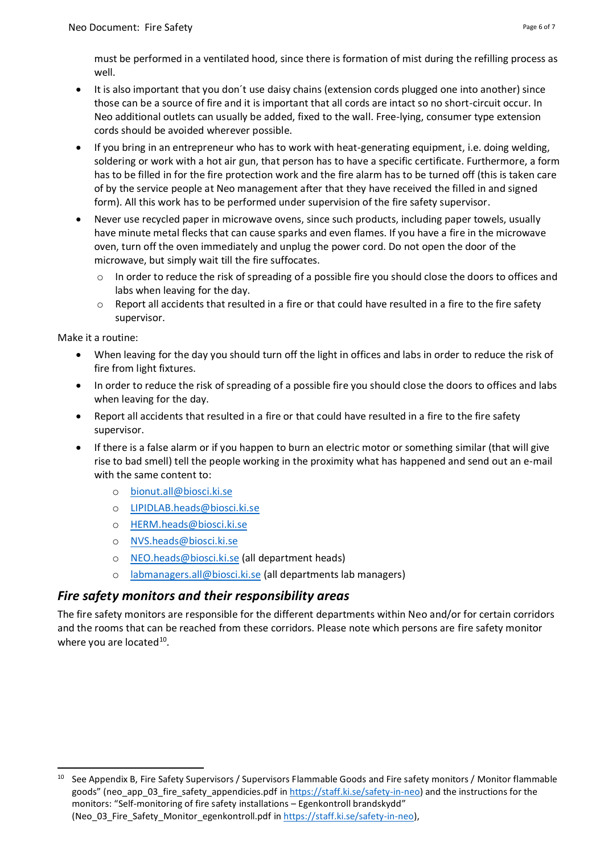must be performed in a ventilated hood, since there is formation of mist during the refilling process as well.

- It is also important that you don´t use daisy chains (extension cords plugged one into another) since those can be a source of fire and it is important that all cords are intact so no short-circuit occur. In Neo additional outlets can usually be added, fixed to the wall. Free-lying, consumer type extension cords should be avoided wherever possible.
- If you bring in an entrepreneur who has to work with heat-generating equipment, i.e. doing welding, soldering or work with a hot air gun, that person has to have a specific certificate. Furthermore, a form has to be filled in for the fire protection work and the fire alarm has to be turned off (this is taken care of by the service people at Neo management after that they have received the filled in and signed form). All this work has to be performed under supervision of the fire safety supervisor.
- Never use recycled paper in microwave ovens, since such products, including paper towels, usually have minute metal flecks that can cause sparks and even flames. If you have a fire in the microwave oven, turn off the oven immediately and unplug the power cord. Do not open the door of the microwave, but simply wait till the fire suffocates.
	- $\circ$  In order to reduce the risk of spreading of a possible fire you should close the doors to offices and labs when leaving for the day.
	- $\circ$  Report all accidents that resulted in a fire or that could have resulted in a fire to the fire safety supervisor.

Make it a routine:

- When leaving for the day you should turn off the light in offices and labs in order to reduce the risk of fire from light fixtures.
- In order to reduce the risk of spreading of a possible fire you should close the doors to offices and labs when leaving for the day.
- Report all accidents that resulted in a fire or that could have resulted in a fire to the fire safety supervisor.
- If there is a false alarm or if you happen to burn an electric motor or something similar (that will give rise to bad smell) tell the people working in the proximity what has happened and send out an e-mail with the same content to:
	- o [bionut.all@biosci.ki.se](mailto:bionut.all@biosci.ki.se)
	- o [LIPIDLAB.heads@biosci.ki.se](mailto:LIPIDLAB.heads@biosci.ki.se)
	- o [HERM.heads@biosci.ki.se](mailto:HERM.heads@biosci.ki.se)
	- o [NVS.heads@biosci.ki.se](mailto:NVS.heads@biosci.ki.se)
	- o [NEO.heads@biosci.ki.se](mailto:NEO.heads@biosci.ki.se) (all department heads)
	- o [labmanagers.all@biosci.ki.se](mailto:labmanagers.all@biosci.ki.se) (all departments lab managers)

## <span id="page-5-0"></span>*Fire safety monitors and their responsibility areas*

The fire safety monitors are responsible for the different departments within Neo and/or for certain corridors and the rooms that can be reached from these corridors. Please note which persons are fire safety monitor where you are located<sup>10</sup>.

<sup>&</sup>lt;sup>10</sup> See Appendix B, Fire Safety Supervisors / Supervisors Flammable Goods and Fire safety monitors / Monitor flammable goods" (neo app\_03\_fire\_safety\_appendicies.pdf i[n https://staff.ki.se/safety-in-neo\)](https://staff.ki.se/safety-in-neo) and the instructions for the monitors: "Self-monitoring of fire safety installations – Egenkontroll brandskydd" (Neo 03 Fire Safety Monitor egenkontroll.pdf i[n https://staff.ki.se/safety-in-neo\)](https://staff.ki.se/safety-in-neo),